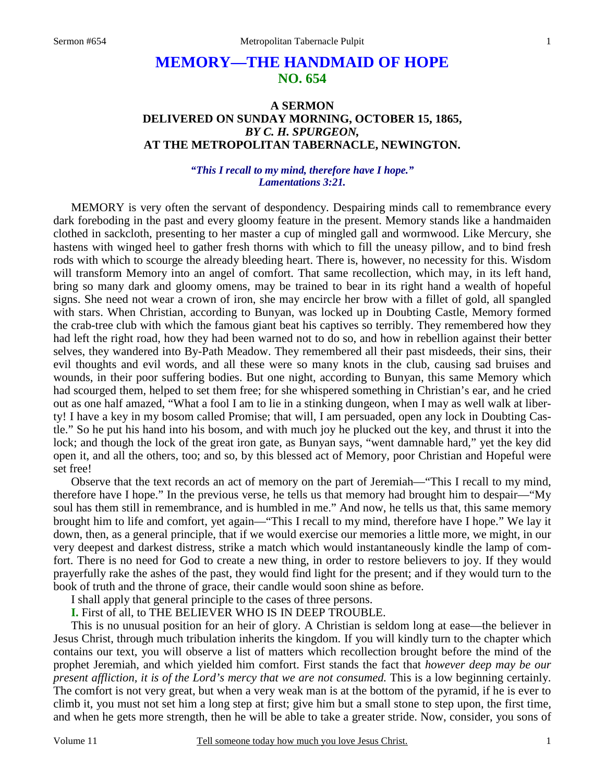# **MEMORY—THE HANDMAID OF HOPE NO. 654**

## **A SERMON DELIVERED ON SUNDAY MORNING, OCTOBER 15, 1865,**  *BY C. H. SPURGEON,*  **AT THE METROPOLITAN TABERNACLE, NEWINGTON.**

### *"This I recall to my mind, therefore have I hope." Lamentations 3:21.*

MEMORY is very often the servant of despondency. Despairing minds call to remembrance every dark foreboding in the past and every gloomy feature in the present. Memory stands like a handmaiden clothed in sackcloth, presenting to her master a cup of mingled gall and wormwood. Like Mercury, she hastens with winged heel to gather fresh thorns with which to fill the uneasy pillow, and to bind fresh rods with which to scourge the already bleeding heart. There is, however, no necessity for this. Wisdom will transform Memory into an angel of comfort. That same recollection, which may, in its left hand, bring so many dark and gloomy omens, may be trained to bear in its right hand a wealth of hopeful signs. She need not wear a crown of iron, she may encircle her brow with a fillet of gold, all spangled with stars. When Christian, according to Bunyan, was locked up in Doubting Castle, Memory formed the crab-tree club with which the famous giant beat his captives so terribly. They remembered how they had left the right road, how they had been warned not to do so, and how in rebellion against their better selves, they wandered into By-Path Meadow. They remembered all their past misdeeds, their sins, their evil thoughts and evil words, and all these were so many knots in the club, causing sad bruises and wounds, in their poor suffering bodies. But one night, according to Bunyan, this same Memory which had scourged them, helped to set them free; for she whispered something in Christian's ear, and he cried out as one half amazed, "What a fool I am to lie in a stinking dungeon, when I may as well walk at liberty! I have a key in my bosom called Promise; that will, I am persuaded, open any lock in Doubting Castle." So he put his hand into his bosom, and with much joy he plucked out the key, and thrust it into the lock; and though the lock of the great iron gate, as Bunyan says, "went damnable hard," yet the key did open it, and all the others, too; and so, by this blessed act of Memory, poor Christian and Hopeful were set free!

 Observe that the text records an act of memory on the part of Jeremiah—"This I recall to my mind, therefore have I hope." In the previous verse, he tells us that memory had brought him to despair—"My soul has them still in remembrance, and is humbled in me." And now, he tells us that, this same memory brought him to life and comfort, yet again—"This I recall to my mind, therefore have I hope." We lay it down, then, as a general principle, that if we would exercise our memories a little more, we might, in our very deepest and darkest distress, strike a match which would instantaneously kindle the lamp of comfort. There is no need for God to create a new thing, in order to restore believers to joy. If they would prayerfully rake the ashes of the past, they would find light for the present; and if they would turn to the book of truth and the throne of grace, their candle would soon shine as before.

I shall apply that general principle to the cases of three persons.

**I.** First of all, to THE BELIEVER WHO IS IN DEEP TROUBLE.

 This is no unusual position for an heir of glory. A Christian is seldom long at ease—the believer in Jesus Christ, through much tribulation inherits the kingdom. If you will kindly turn to the chapter which contains our text, you will observe a list of matters which recollection brought before the mind of the prophet Jeremiah, and which yielded him comfort. First stands the fact that *however deep may be our present affliction, it is of the Lord's mercy that we are not consumed.* This is a low beginning certainly. The comfort is not very great, but when a very weak man is at the bottom of the pyramid, if he is ever to climb it, you must not set him a long step at first; give him but a small stone to step upon, the first time, and when he gets more strength, then he will be able to take a greater stride. Now, consider, you sons of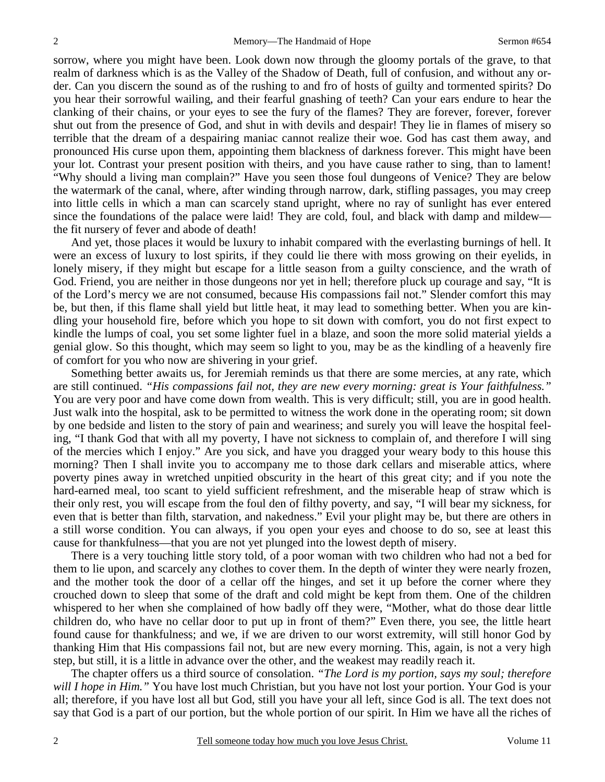sorrow, where you might have been. Look down now through the gloomy portals of the grave, to that realm of darkness which is as the Valley of the Shadow of Death, full of confusion, and without any order. Can you discern the sound as of the rushing to and fro of hosts of guilty and tormented spirits? Do you hear their sorrowful wailing, and their fearful gnashing of teeth? Can your ears endure to hear the clanking of their chains, or your eyes to see the fury of the flames? They are forever, forever, forever shut out from the presence of God, and shut in with devils and despair! They lie in flames of misery so terrible that the dream of a despairing maniac cannot realize their woe. God has cast them away, and pronounced His curse upon them, appointing them blackness of darkness forever. This might have been your lot. Contrast your present position with theirs, and you have cause rather to sing, than to lament! "Why should a living man complain?" Have you seen those foul dungeons of Venice? They are below the watermark of the canal, where, after winding through narrow, dark, stifling passages, you may creep into little cells in which a man can scarcely stand upright, where no ray of sunlight has ever entered since the foundations of the palace were laid! They are cold, foul, and black with damp and mildew the fit nursery of fever and abode of death!

 And yet, those places it would be luxury to inhabit compared with the everlasting burnings of hell. It were an excess of luxury to lost spirits, if they could lie there with moss growing on their eyelids, in lonely misery, if they might but escape for a little season from a guilty conscience, and the wrath of God. Friend, you are neither in those dungeons nor yet in hell; therefore pluck up courage and say, "It is of the Lord's mercy we are not consumed, because His compassions fail not." Slender comfort this may be, but then, if this flame shall yield but little heat, it may lead to something better. When you are kindling your household fire, before which you hope to sit down with comfort, you do not first expect to kindle the lumps of coal, you set some lighter fuel in a blaze, and soon the more solid material yields a genial glow. So this thought, which may seem so light to you, may be as the kindling of a heavenly fire of comfort for you who now are shivering in your grief.

 Something better awaits us, for Jeremiah reminds us that there are some mercies, at any rate, which are still continued. *"His compassions fail not, they are new every morning: great is Your faithfulness."* You are very poor and have come down from wealth. This is very difficult; still, you are in good health. Just walk into the hospital, ask to be permitted to witness the work done in the operating room; sit down by one bedside and listen to the story of pain and weariness; and surely you will leave the hospital feeling, "I thank God that with all my poverty, I have not sickness to complain of, and therefore I will sing of the mercies which I enjoy." Are you sick, and have you dragged your weary body to this house this morning? Then I shall invite you to accompany me to those dark cellars and miserable attics, where poverty pines away in wretched unpitied obscurity in the heart of this great city; and if you note the hard-earned meal, too scant to yield sufficient refreshment, and the miserable heap of straw which is their only rest, you will escape from the foul den of filthy poverty, and say, "I will bear my sickness, for even that is better than filth, starvation, and nakedness." Evil your plight may be, but there are others in a still worse condition. You can always, if you open your eyes and choose to do so, see at least this cause for thankfulness—that you are not yet plunged into the lowest depth of misery.

 There is a very touching little story told, of a poor woman with two children who had not a bed for them to lie upon, and scarcely any clothes to cover them. In the depth of winter they were nearly frozen, and the mother took the door of a cellar off the hinges, and set it up before the corner where they crouched down to sleep that some of the draft and cold might be kept from them. One of the children whispered to her when she complained of how badly off they were, "Mother, what do those dear little children do, who have no cellar door to put up in front of them?" Even there, you see, the little heart found cause for thankfulness; and we, if we are driven to our worst extremity, will still honor God by thanking Him that His compassions fail not, but are new every morning. This, again, is not a very high step, but still, it is a little in advance over the other, and the weakest may readily reach it.

 The chapter offers us a third source of consolation. *"The Lord is my portion, says my soul; therefore will I hope in Him.*" You have lost much Christian, but you have not lost your portion. Your God is your all; therefore, if you have lost all but God, still you have your all left, since God is all. The text does not say that God is a part of our portion, but the whole portion of our spirit. In Him we have all the riches of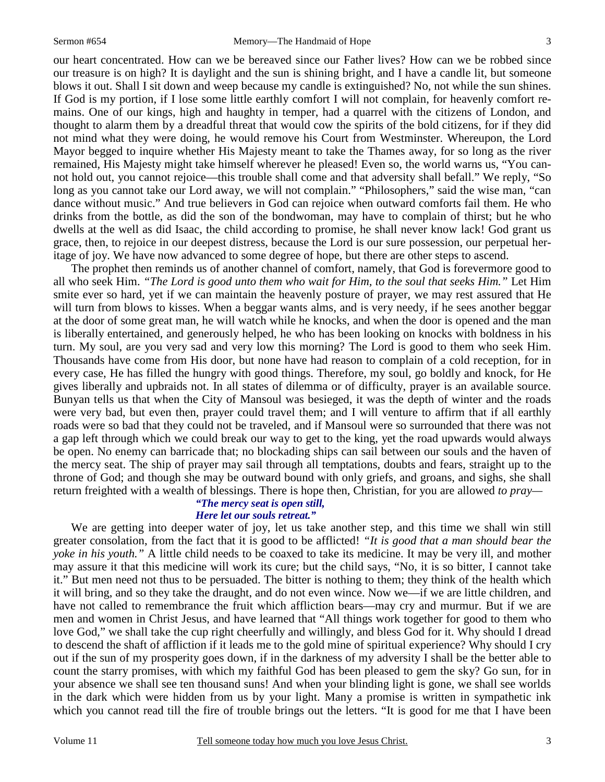our heart concentrated. How can we be bereaved since our Father lives? How can we be robbed since our treasure is on high? It is daylight and the sun is shining bright, and I have a candle lit, but someone blows it out. Shall I sit down and weep because my candle is extinguished? No, not while the sun shines. If God is my portion, if I lose some little earthly comfort I will not complain, for heavenly comfort remains. One of our kings, high and haughty in temper, had a quarrel with the citizens of London, and thought to alarm them by a dreadful threat that would cow the spirits of the bold citizens, for if they did not mind what they were doing, he would remove his Court from Westminster. Whereupon, the Lord Mayor begged to inquire whether His Majesty meant to take the Thames away, for so long as the river remained, His Majesty might take himself wherever he pleased! Even so, the world warns us, "You cannot hold out, you cannot rejoice—this trouble shall come and that adversity shall befall." We reply, "So long as you cannot take our Lord away, we will not complain." "Philosophers," said the wise man, "can dance without music." And true believers in God can rejoice when outward comforts fail them. He who drinks from the bottle, as did the son of the bondwoman, may have to complain of thirst; but he who dwells at the well as did Isaac, the child according to promise, he shall never know lack! God grant us grace, then, to rejoice in our deepest distress, because the Lord is our sure possession, our perpetual heritage of joy. We have now advanced to some degree of hope, but there are other steps to ascend.

 The prophet then reminds us of another channel of comfort, namely, that God is forevermore good to all who seek Him. *"The Lord is good unto them who wait for Him, to the soul that seeks Him."* Let Him smite ever so hard, yet if we can maintain the heavenly posture of prayer, we may rest assured that He will turn from blows to kisses. When a beggar wants alms, and is very needy, if he sees another beggar at the door of some great man, he will watch while he knocks, and when the door is opened and the man is liberally entertained, and generously helped, he who has been looking on knocks with boldness in his turn. My soul, are you very sad and very low this morning? The Lord is good to them who seek Him. Thousands have come from His door, but none have had reason to complain of a cold reception, for in every case, He has filled the hungry with good things. Therefore, my soul, go boldly and knock, for He gives liberally and upbraids not. In all states of dilemma or of difficulty, prayer is an available source. Bunyan tells us that when the City of Mansoul was besieged, it was the depth of winter and the roads were very bad, but even then, prayer could travel them; and I will venture to affirm that if all earthly roads were so bad that they could not be traveled, and if Mansoul were so surrounded that there was not a gap left through which we could break our way to get to the king, yet the road upwards would always be open. No enemy can barricade that; no blockading ships can sail between our souls and the haven of the mercy seat. The ship of prayer may sail through all temptations, doubts and fears, straight up to the throne of God; and though she may be outward bound with only griefs, and groans, and sighs, she shall return freighted with a wealth of blessings. There is hope then, Christian, for you are allowed *to pray—* 

#### *"The mercy seat is open still, Here let our souls retreat."*

We are getting into deeper water of joy, let us take another step, and this time we shall win still greater consolation, from the fact that it is good to be afflicted! *"It is good that a man should bear the yoke in his youth."* A little child needs to be coaxed to take its medicine. It may be very ill, and mother may assure it that this medicine will work its cure; but the child says, "No, it is so bitter, I cannot take it." But men need not thus to be persuaded. The bitter is nothing to them; they think of the health which it will bring, and so they take the draught, and do not even wince. Now we—if we are little children, and have not called to remembrance the fruit which affliction bears—may cry and murmur. But if we are men and women in Christ Jesus, and have learned that "All things work together for good to them who love God," we shall take the cup right cheerfully and willingly, and bless God for it. Why should I dread to descend the shaft of affliction if it leads me to the gold mine of spiritual experience? Why should I cry out if the sun of my prosperity goes down, if in the darkness of my adversity I shall be the better able to count the starry promises, with which my faithful God has been pleased to gem the sky? Go sun, for in your absence we shall see ten thousand suns! And when your blinding light is gone, we shall see worlds in the dark which were hidden from us by your light. Many a promise is written in sympathetic ink which you cannot read till the fire of trouble brings out the letters. "It is good for me that I have been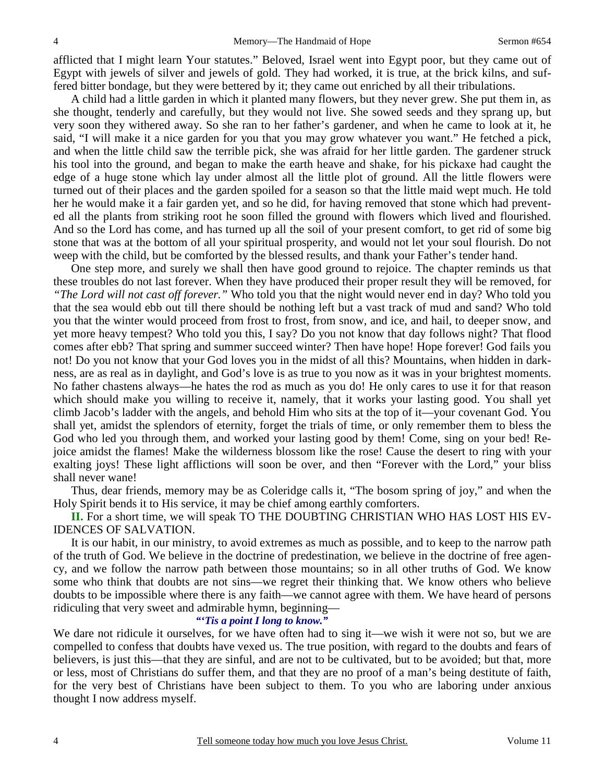afflicted that I might learn Your statutes." Beloved, Israel went into Egypt poor, but they came out of Egypt with jewels of silver and jewels of gold. They had worked, it is true, at the brick kilns, and suffered bitter bondage, but they were bettered by it; they came out enriched by all their tribulations.

 A child had a little garden in which it planted many flowers, but they never grew. She put them in, as she thought, tenderly and carefully, but they would not live. She sowed seeds and they sprang up, but very soon they withered away. So she ran to her father's gardener, and when he came to look at it, he said, "I will make it a nice garden for you that you may grow whatever you want." He fetched a pick, and when the little child saw the terrible pick, she was afraid for her little garden. The gardener struck his tool into the ground, and began to make the earth heave and shake, for his pickaxe had caught the edge of a huge stone which lay under almost all the little plot of ground. All the little flowers were turned out of their places and the garden spoiled for a season so that the little maid wept much. He told her he would make it a fair garden yet, and so he did, for having removed that stone which had prevented all the plants from striking root he soon filled the ground with flowers which lived and flourished. And so the Lord has come, and has turned up all the soil of your present comfort, to get rid of some big stone that was at the bottom of all your spiritual prosperity, and would not let your soul flourish. Do not weep with the child, but be comforted by the blessed results, and thank your Father's tender hand.

 One step more, and surely we shall then have good ground to rejoice. The chapter reminds us that these troubles do not last forever. When they have produced their proper result they will be removed, for *"The Lord will not cast off forever."* Who told you that the night would never end in day? Who told you that the sea would ebb out till there should be nothing left but a vast track of mud and sand? Who told you that the winter would proceed from frost to frost, from snow, and ice, and hail, to deeper snow, and yet more heavy tempest? Who told you this, I say? Do you not know that day follows night? That flood comes after ebb? That spring and summer succeed winter? Then have hope! Hope forever! God fails you not! Do you not know that your God loves you in the midst of all this? Mountains, when hidden in darkness, are as real as in daylight, and God's love is as true to you now as it was in your brightest moments. No father chastens always—he hates the rod as much as you do! He only cares to use it for that reason which should make you willing to receive it, namely, that it works your lasting good. You shall yet climb Jacob's ladder with the angels, and behold Him who sits at the top of it—your covenant God. You shall yet, amidst the splendors of eternity, forget the trials of time, or only remember them to bless the God who led you through them, and worked your lasting good by them! Come, sing on your bed! Rejoice amidst the flames! Make the wilderness blossom like the rose! Cause the desert to ring with your exalting joys! These light afflictions will soon be over, and then "Forever with the Lord," your bliss shall never wane!

 Thus, dear friends, memory may be as Coleridge calls it, "The bosom spring of joy," and when the Holy Spirit bends it to His service, it may be chief among earthly comforters.

**II.** For a short time, we will speak TO THE DOUBTING CHRISTIAN WHO HAS LOST HIS EV-IDENCES OF SALVATION.

 It is our habit, in our ministry, to avoid extremes as much as possible, and to keep to the narrow path of the truth of God. We believe in the doctrine of predestination, we believe in the doctrine of free agency, and we follow the narrow path between those mountains; so in all other truths of God. We know some who think that doubts are not sins—we regret their thinking that. We know others who believe doubts to be impossible where there is any faith—we cannot agree with them. We have heard of persons ridiculing that very sweet and admirable hymn, beginning—

#### *"'Tis a point I long to know."*

We dare not ridicule it ourselves, for we have often had to sing it—we wish it were not so, but we are compelled to confess that doubts have vexed us. The true position, with regard to the doubts and fears of believers, is just this—that they are sinful, and are not to be cultivated, but to be avoided; but that, more or less, most of Christians do suffer them, and that they are no proof of a man's being destitute of faith, for the very best of Christians have been subject to them. To you who are laboring under anxious thought I now address myself.

4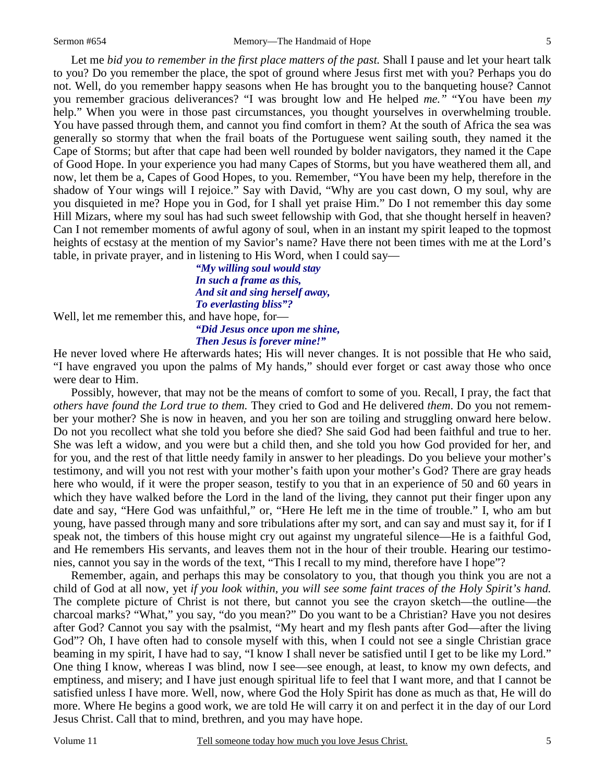5

 Let me *bid you to remember in the first place matters of the past.* Shall I pause and let your heart talk to you? Do you remember the place, the spot of ground where Jesus first met with you? Perhaps you do not. Well, do you remember happy seasons when He has brought you to the banqueting house? Cannot you remember gracious deliverances? "I was brought low and He helped *me."* "You have been *my* help." When you were in those past circumstances, you thought yourselves in overwhelming trouble. You have passed through them, and cannot you find comfort in them? At the south of Africa the sea was generally so stormy that when the frail boats of the Portuguese went sailing south, they named it the Cape of Storms; but after that cape had been well rounded by bolder navigators, they named it the Cape of Good Hope. In your experience you had many Capes of Storms, but you have weathered them all, and now, let them be a, Capes of Good Hopes, to you. Remember, "You have been my help, therefore in the shadow of Your wings will I rejoice." Say with David, "Why are you cast down, O my soul, why are you disquieted in me? Hope you in God, for I shall yet praise Him." Do I not remember this day some Hill Mizars, where my soul has had such sweet fellowship with God, that she thought herself in heaven? Can I not remember moments of awful agony of soul, when in an instant my spirit leaped to the topmost heights of ecstasy at the mention of my Savior's name? Have there not been times with me at the Lord's table, in private prayer, and in listening to His Word, when I could say—

*"My willing soul would stay In such a frame as this, And sit and sing herself away, To everlasting bliss"? "Did Jesus once upon me shine,* 

Well, let me remember this, and have hope, for-

*Then Jesus is forever mine!"* 

He never loved where He afterwards hates; His will never changes. It is not possible that He who said, "I have engraved you upon the palms of My hands," should ever forget or cast away those who once were dear to Him.

 Possibly, however, that may not be the means of comfort to some of you. Recall, I pray, the fact that *others have found the Lord true to them.* They cried to God and He delivered *them*. Do you not remember your mother? She is now in heaven, and you her son are toiling and struggling onward here below. Do not you recollect what she told you before she died? She said God had been faithful and true to her. She was left a widow, and you were but a child then, and she told you how God provided for her, and for you, and the rest of that little needy family in answer to her pleadings. Do you believe your mother's testimony, and will you not rest with your mother's faith upon your mother's God? There are gray heads here who would, if it were the proper season, testify to you that in an experience of 50 and 60 years in which they have walked before the Lord in the land of the living, they cannot put their finger upon any date and say, "Here God was unfaithful," or, "Here He left me in the time of trouble." I, who am but young, have passed through many and sore tribulations after my sort, and can say and must say it, for if I speak not, the timbers of this house might cry out against my ungrateful silence—He is a faithful God, and He remembers His servants, and leaves them not in the hour of their trouble. Hearing our testimonies, cannot you say in the words of the text, "This I recall to my mind, therefore have I hope"?

 Remember, again, and perhaps this may be consolatory to you, that though you think you are not a child of God at all now, yet *if you look within, you will see some faint traces of the Holy Spirit's hand.* The complete picture of Christ is not there, but cannot you see the crayon sketch—the outline—the charcoal marks? "What," you say, "do you mean?" Do you want to be a Christian? Have you not desires after God? Cannot you say with the psalmist, "My heart and my flesh pants after God—after the living God"? Oh, I have often had to console myself with this, when I could not see a single Christian grace beaming in my spirit, I have had to say, "I know I shall never be satisfied until I get to be like my Lord." One thing I know, whereas I was blind, now I see—see enough, at least, to know my own defects, and emptiness, and misery; and I have just enough spiritual life to feel that I want more, and that I cannot be satisfied unless I have more. Well, now, where God the Holy Spirit has done as much as that, He will do more. Where He begins a good work, we are told He will carry it on and perfect it in the day of our Lord Jesus Christ. Call that to mind, brethren, and you may have hope.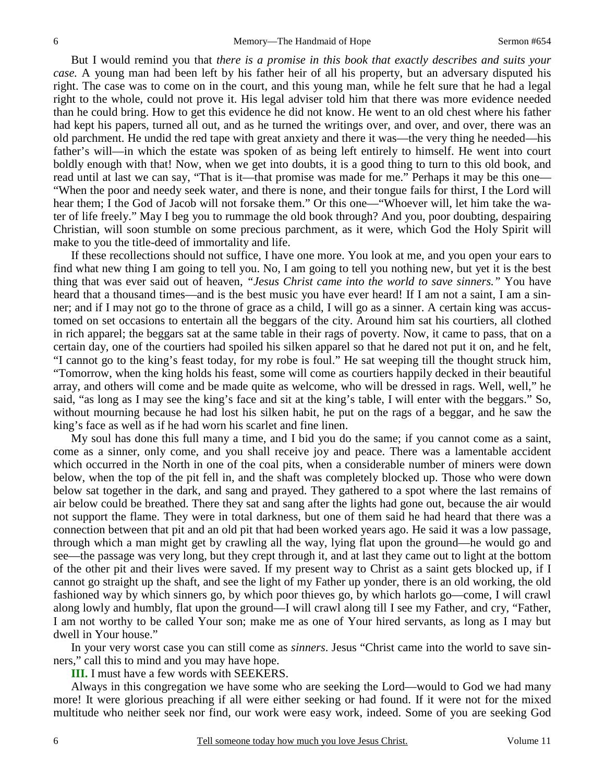But I would remind you that *there is a promise in this book that exactly describes and suits your case.* A young man had been left by his father heir of all his property, but an adversary disputed his right. The case was to come on in the court, and this young man, while he felt sure that he had a legal right to the whole, could not prove it. His legal adviser told him that there was more evidence needed than he could bring. How to get this evidence he did not know. He went to an old chest where his father had kept his papers, turned all out, and as he turned the writings over, and over, and over, there was an old parchment. He undid the red tape with great anxiety and there it was—the very thing he needed—his father's will—in which the estate was spoken of as being left entirely to himself. He went into court boldly enough with that! Now, when we get into doubts, it is a good thing to turn to this old book, and read until at last we can say, "That is it—that promise was made for me." Perhaps it may be this one— "When the poor and needy seek water, and there is none, and their tongue fails for thirst, I the Lord will hear them; I the God of Jacob will not forsake them." Or this one—"Whoever will, let him take the water of life freely." May I beg you to rummage the old book through? And you, poor doubting, despairing Christian, will soon stumble on some precious parchment, as it were, which God the Holy Spirit will make to you the title-deed of immortality and life.

 If these recollections should not suffice, I have one more. You look at me, and you open your ears to find what new thing I am going to tell you. No, I am going to tell you nothing new, but yet it is the best thing that was ever said out of heaven, *"Jesus Christ came into the world to save sinners."* You have heard that a thousand times—and is the best music you have ever heard! If I am not a saint, I am a sinner; and if I may not go to the throne of grace as a child, I will go as a sinner. A certain king was accustomed on set occasions to entertain all the beggars of the city. Around him sat his courtiers, all clothed in rich apparel; the beggars sat at the same table in their rags of poverty. Now, it came to pass, that on a certain day, one of the courtiers had spoiled his silken apparel so that he dared not put it on, and he felt, "I cannot go to the king's feast today, for my robe is foul." He sat weeping till the thought struck him, "Tomorrow, when the king holds his feast, some will come as courtiers happily decked in their beautiful array, and others will come and be made quite as welcome, who will be dressed in rags. Well, well," he said, "as long as I may see the king's face and sit at the king's table, I will enter with the beggars." So, without mourning because he had lost his silken habit, he put on the rags of a beggar, and he saw the king's face as well as if he had worn his scarlet and fine linen.

 My soul has done this full many a time, and I bid you do the same; if you cannot come as a saint, come as a sinner, only come, and you shall receive joy and peace. There was a lamentable accident which occurred in the North in one of the coal pits, when a considerable number of miners were down below, when the top of the pit fell in, and the shaft was completely blocked up. Those who were down below sat together in the dark, and sang and prayed. They gathered to a spot where the last remains of air below could be breathed. There they sat and sang after the lights had gone out, because the air would not support the flame. They were in total darkness, but one of them said he had heard that there was a connection between that pit and an old pit that had been worked years ago. He said it was a low passage, through which a man might get by crawling all the way, lying flat upon the ground—he would go and see—the passage was very long, but they crept through it, and at last they came out to light at the bottom of the other pit and their lives were saved. If my present way to Christ as a saint gets blocked up, if I cannot go straight up the shaft, and see the light of my Father up yonder, there is an old working, the old fashioned way by which sinners go, by which poor thieves go, by which harlots go—come, I will crawl along lowly and humbly, flat upon the ground—I will crawl along till I see my Father, and cry, "Father, I am not worthy to be called Your son; make me as one of Your hired servants, as long as I may but dwell in Your house."

 In your very worst case you can still come as *sinners*. Jesus "Christ came into the world to save sinners," call this to mind and you may have hope.

**III.** I must have a few words with SEEKERS.

 Always in this congregation we have some who are seeking the Lord—would to God we had many more! It were glorious preaching if all were either seeking or had found. If it were not for the mixed multitude who neither seek nor find, our work were easy work, indeed. Some of you are seeking God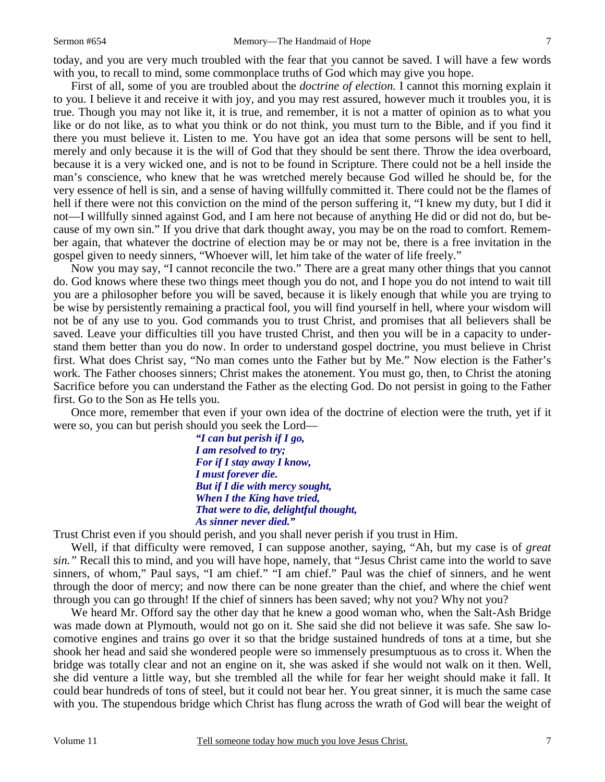today, and you are very much troubled with the fear that you cannot be saved. I will have a few words with you, to recall to mind, some commonplace truths of God which may give you hope.

 First of all, some of you are troubled about the *doctrine of election.* I cannot this morning explain it to you. I believe it and receive it with joy, and you may rest assured, however much it troubles you, it is true. Though you may not like it, it is true, and remember, it is not a matter of opinion as to what you like or do not like*,* as to what you think or do not think*,* you must turn to the Bible, and if you find it there you must believe it. Listen to me. You have got an idea that some persons will be sent to hell, merely and only because it is the will of God that they should be sent there. Throw the idea overboard, because it is a very wicked one, and is not to be found in Scripture. There could not be a hell inside the man's conscience, who knew that he was wretched merely because God willed he should be, for the very essence of hell is sin*,* and a sense of having willfully committed it. There could not be the flames of hell if there were not this conviction on the mind of the person suffering it, "I knew my duty, but I did it not—I willfully sinned against God, and I am here not because of anything He did or did not do, but because of my own sin." If you drive that dark thought away, you may be on the road to comfort. Remember again, that whatever the doctrine of election may be or may not be, there is a free invitation in the gospel given to needy sinners, "Whoever will, let him take of the water of life freely."

 Now you may say, "I cannot reconcile the two." There are a great many other things that you cannot do. God knows where these two things meet though you do not, and I hope you do not intend to wait till you are a philosopher before you will be saved, because it is likely enough that while you are trying to be wise by persistently remaining a practical fool, you will find yourself in hell, where your wisdom will not be of any use to you. God commands you to trust Christ, and promises that all believers shall be saved. Leave your difficulties till you have trusted Christ, and then you will be in a capacity to understand them better than you do now. In order to understand gospel doctrine, you must believe in Christ first. What does Christ say, "No man comes unto the Father but by Me." Now election is the Father's work. The Father chooses sinners; Christ makes the atonement. You must go, then, to Christ the atoning Sacrifice before you can understand the Father as the electing God. Do not persist in going to the Father first. Go to the Son as He tells you.

 Once more, remember that even if your own idea of the doctrine of election were the truth, yet if it were so, you can but perish should you seek the Lord—

> *"I can but perish if I go, I am resolved to try; For if I stay away I know, I must forever die. But if I die with mercy sought, When I the King have tried, That were to die, delightful thought, As sinner never died."*

Trust Christ even if you should perish, and you shall never perish if you trust in Him.

 Well, if that difficulty were removed, I can suppose another, saying, "Ah, but my case is of *great sin."* Recall this to mind, and you will have hope, namely, that "Jesus Christ came into the world to save sinners, of whom," Paul says, "I am chief." "I am chief." Paul was the chief of sinners, and he went through the door of mercy; and now there can be none greater than the chief, and where the chief went through you can go through! If the chief of sinners has been saved; why not you? Why not you?

 We heard Mr. Offord say the other day that he knew a good woman who, when the Salt-Ash Bridge was made down at Plymouth, would not go on it. She said she did not believe it was safe. She saw locomotive engines and trains go over it so that the bridge sustained hundreds of tons at a time, but she shook her head and said she wondered people were so immensely presumptuous as to cross it. When the bridge was totally clear and not an engine on it, she was asked if she would not walk on it then. Well, she did venture a little way, but she trembled all the while for fear her weight should make it fall. It could bear hundreds of tons of steel, but it could not bear her. You great sinner, it is much the same case with you. The stupendous bridge which Christ has flung across the wrath of God will bear the weight of